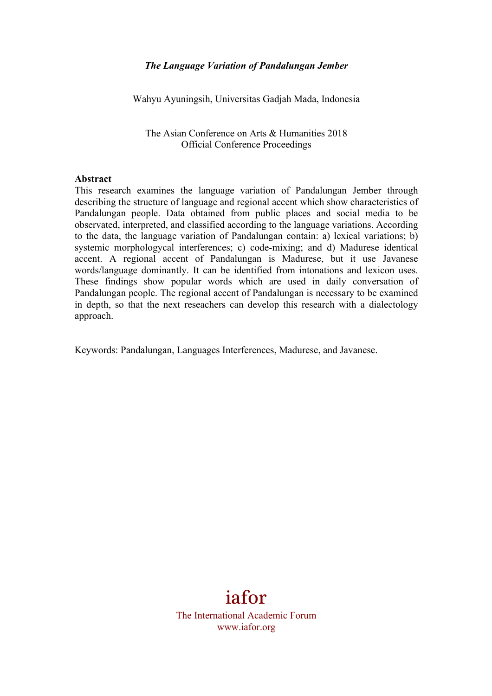## *The Language Variation of Pandalungan Jember*

Wahyu Ayuningsih, Universitas Gadjah Mada, Indonesia

The Asian Conference on Arts & Humanities 2018 Official Conference Proceedings

#### **Abstract**

This research examines the language variation of Pandalungan Jember through describing the structure of language and regional accent which show characteristics of Pandalungan people. Data obtained from public places and social media to be observated, interpreted, and classified according to the language variations. According to the data, the language variation of Pandalungan contain: a) lexical variations; b) systemic morphologycal interferences; c) code-mixing; and d) Madurese identical accent. A regional accent of Pandalungan is Madurese, but it use Javanese words/language dominantly. It can be identified from intonations and lexicon uses. These findings show popular words which are used in daily conversation of Pandalungan people. The regional accent of Pandalungan is necessary to be examined in depth, so that the next reseachers can develop this research with a dialectology approach.

Keywords: Pandalungan, Languages Interferences, Madurese, and Javanese.

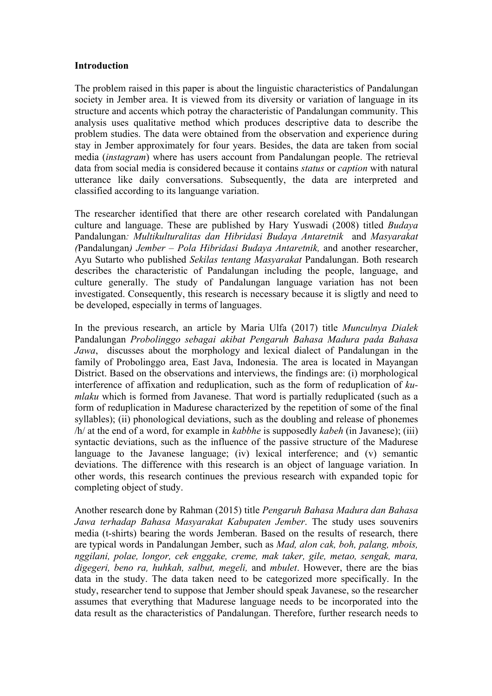#### **Introduction**

The problem raised in this paper is about the linguistic characteristics of Pandalungan society in Jember area. It is viewed from its diversity or variation of language in its structure and accents which potray the characteristic of Pandalungan community. This analysis uses qualitative method which produces descriptive data to describe the problem studies. The data were obtained from the observation and experience during stay in Jember approximately for four years. Besides, the data are taken from social media (*instagram*) where has users account from Pandalungan people. The retrieval data from social media is considered because it contains *status* or *caption* with natural utterance like daily conversations. Subsequently, the data are interpreted and classified according to its languange variation.

The researcher identified that there are other research corelated with Pandalungan culture and language. These are published by Hary Yuswadi (2008) titled *Budaya*  Pandalungan*: Multikulturalitas dan Hibridasi Budaya Antaretnik* and *Masyarakat (*Pandalungan*) Jember – Pola Hibridasi Budaya Antaretnik,* and another researcher, Ayu Sutarto who published *Sekilas tentang Masyarakat* Pandalungan. Both research describes the characteristic of Pandalungan including the people, language, and culture generally. The study of Pandalungan language variation has not been investigated. Consequently, this research is necessary because it is sligtly and need to be developed, especially in terms of languages.

In the previous research, an article by Maria Ulfa (2017) title *Munculnya Dialek*  Pandalungan *Probolinggo sebagai akibat Pengaruh Bahasa Madura pada Bahasa Jawa*, discusses about the morphology and lexical dialect of Pandalungan in the family of Probolinggo area, East Java, Indonesia. The area is located in Mayangan District. Based on the observations and interviews, the findings are: (i) morphological interference of affixation and reduplication, such as the form of reduplication of *kumlaku* which is formed from Javanese. That word is partially reduplicated (such as a form of reduplication in Madurese characterized by the repetition of some of the final syllables); (ii) phonological deviations, such as the doubling and release of phonemes /h/ at the end of a word, for example in *kabbhe* is supposedly *kabeh* (in Javanese); (iii) syntactic deviations, such as the influence of the passive structure of the Madurese language to the Javanese language; (iv) lexical interference; and (v) semantic deviations. The difference with this research is an object of language variation. In other words, this research continues the previous research with expanded topic for completing object of study.

Another research done by Rahman (2015) title *Pengaruh Bahasa Madura dan Bahasa Jawa terhadap Bahasa Masyarakat Kabupaten Jember*. The study uses souvenirs media (t-shirts) bearing the words Jemberan. Based on the results of research, there are typical words in Pandalungan Jember, such as *Mad, alon cak, boh, palang, mbois, nggilani, polae, longor, cek enggake, creme, mak taker, gile, metao, sengak, mara, digegeri, beno ra, huhkah, salbut, megeli,* and *mbulet*. However, there are the bias data in the study. The data taken need to be categorized more specifically. In the study, researcher tend to suppose that Jember should speak Javanese, so the researcher assumes that everything that Madurese language needs to be incorporated into the data result as the characteristics of Pandalungan. Therefore, further research needs to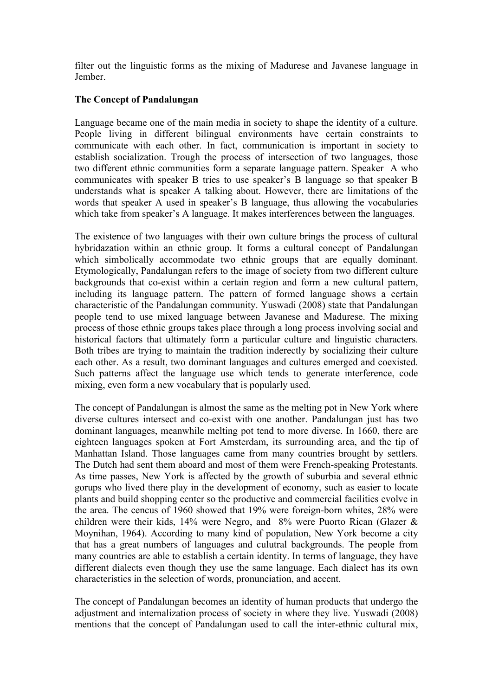filter out the linguistic forms as the mixing of Madurese and Javanese language in Jember.

## **The Concept of Pandalungan**

Language became one of the main media in society to shape the identity of a culture. People living in different bilingual environments have certain constraints to communicate with each other. In fact, communication is important in society to establish socialization. Trough the process of intersection of two languages, those two different ethnic communities form a separate language pattern. Speaker A who communicates with speaker B tries to use speaker's B language so that speaker B understands what is speaker A talking about. However, there are limitations of the words that speaker A used in speaker's B language, thus allowing the vocabularies which take from speaker's A language. It makes interferences between the languages.

The existence of two languages with their own culture brings the process of cultural hybridazation within an ethnic group. It forms a cultural concept of Pandalungan which simbolically accommodate two ethnic groups that are equally dominant. Etymologically, Pandalungan refers to the image of society from two different culture backgrounds that co-exist within a certain region and form a new cultural pattern, including its language pattern. The pattern of formed language shows a certain characteristic of the Pandalungan community. Yuswadi (2008) state that Pandalungan people tend to use mixed language between Javanese and Madurese. The mixing process of those ethnic groups takes place through a long process involving social and historical factors that ultimately form a particular culture and linguistic characters. Both tribes are trying to maintain the tradition inderectly by socializing their culture each other. As a result, two dominant languages and cultures emerged and coexisted. Such patterns affect the language use which tends to generate interference, code mixing, even form a new vocabulary that is popularly used.

The concept of Pandalungan is almost the same as the melting pot in New York where diverse cultures intersect and co-exist with one another. Pandalungan just has two dominant languages, meanwhile melting pot tend to more diverse. In 1660, there are eighteen languages spoken at Fort Amsterdam, its surrounding area, and the tip of Manhattan Island. Those languages came from many countries brought by settlers. The Dutch had sent them aboard and most of them were French-speaking Protestants. As time passes, New York is affected by the growth of suburbia and several ethnic gorups who lived there play in the development of economy, such as easier to locate plants and build shopping center so the productive and commercial facilities evolve in the area. The cencus of 1960 showed that 19% were foreign-born whites, 28% were children were their kids, 14% were Negro, and 8% were Puorto Rican (Glazer & Moynihan, 1964). According to many kind of population, New York become a city that has a great numbers of languages and culutral backgrounds. The people from many countries are able to establish a certain identity. In terms of language, they have different dialects even though they use the same language. Each dialect has its own characteristics in the selection of words, pronunciation, and accent.

The concept of Pandalungan becomes an identity of human products that undergo the adjustment and internalization process of society in where they live. Yuswadi (2008) mentions that the concept of Pandalungan used to call the inter-ethnic cultural mix,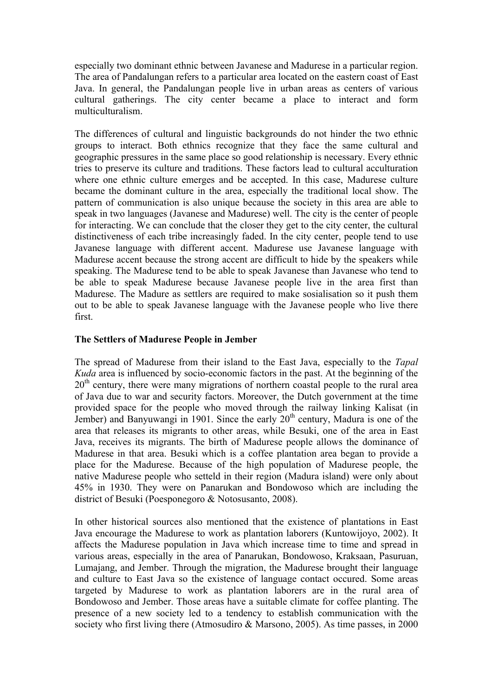especially two dominant ethnic between Javanese and Madurese in a particular region. The area of Pandalungan refers to a particular area located on the eastern coast of East Java. In general, the Pandalungan people live in urban areas as centers of various cultural gatherings. The city center became a place to interact and form multiculturalism.

The differences of cultural and linguistic backgrounds do not hinder the two ethnic groups to interact. Both ethnics recognize that they face the same cultural and geographic pressures in the same place so good relationship is necessary. Every ethnic tries to preserve its culture and traditions. These factors lead to cultural acculturation where one ethnic culture emerges and be accepted. In this case, Madurese culture became the dominant culture in the area, especially the traditional local show. The pattern of communication is also unique because the society in this area are able to speak in two languages (Javanese and Madurese) well. The city is the center of people for interacting. We can conclude that the closer they get to the city center, the cultural distinctiveness of each tribe increasingly faded. In the city center, people tend to use Javanese language with different accent. Madurese use Javanese language with Madurese accent because the strong accent are difficult to hide by the speakers while speaking. The Madurese tend to be able to speak Javanese than Javanese who tend to be able to speak Madurese because Javanese people live in the area first than Madurese. The Madure as settlers are required to make sosialisation so it push them out to be able to speak Javanese language with the Javanese people who live there first.

#### **The Settlers of Madurese People in Jember**

The spread of Madurese from their island to the East Java, especially to the *Tapal Kuda* area is influenced by socio-economic factors in the past. At the beginning of the  $20<sup>th</sup>$  century, there were many migrations of northern coastal people to the rural area of Java due to war and security factors. Moreover, the Dutch government at the time provided space for the people who moved through the railway linking Kalisat (in Jember) and Banyuwangi in 1901. Since the early  $20<sup>th</sup>$  century, Madura is one of the area that releases its migrants to other areas, while Besuki, one of the area in East Java, receives its migrants. The birth of Madurese people allows the dominance of Madurese in that area. Besuki which is a coffee plantation area began to provide a place for the Madurese. Because of the high population of Madurese people, the native Madurese people who setteld in their region (Madura island) were only about 45% in 1930. They were on Panarukan and Bondowoso which are including the district of Besuki (Poesponegoro & Notosusanto, 2008).

In other historical sources also mentioned that the existence of plantations in East Java encourage the Madurese to work as plantation laborers (Kuntowijoyo, 2002). It affects the Madurese population in Java which increase time to time and spread in various areas, especially in the area of Panarukan, Bondowoso, Kraksaan, Pasuruan, Lumajang, and Jember. Through the migration, the Madurese brought their language and culture to East Java so the existence of language contact occured. Some areas targeted by Madurese to work as plantation laborers are in the rural area of Bondowoso and Jember. Those areas have a suitable climate for coffee planting. The presence of a new society led to a tendency to establish communication with the society who first living there (Atmosudiro & Marsono, 2005). As time passes, in 2000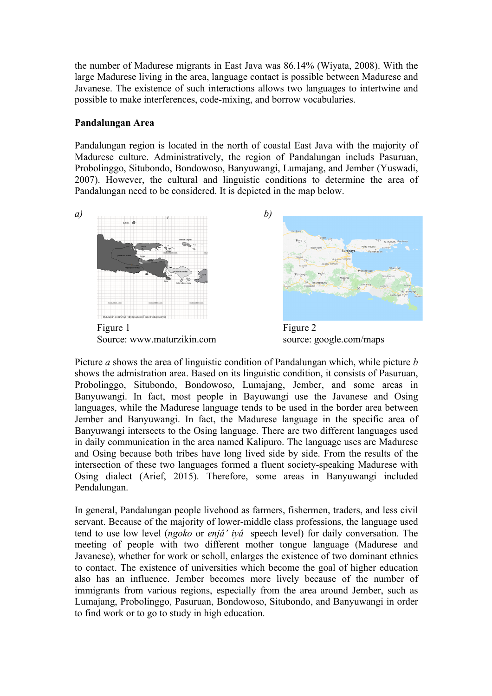the number of Madurese migrants in East Java was 86.14% (Wiyata, 2008). With the large Madurese living in the area, language contact is possible between Madurese and Javanese. The existence of such interactions allows two languages to intertwine and possible to make interferences, code-mixing, and borrow vocabularies.

## **Pandalungan Area**

Pandalungan region is located in the north of coastal East Java with the majority of Madurese culture. Administratively, the region of Pandalungan includs Pasuruan, Probolinggo, Situbondo, Bondowoso, Banyuwangi, Lumajang, and Jember (Yuswadi, 2007). However, the cultural and linguistic conditions to determine the area of Pandalungan need to be considered. It is depicted in the map below.



Figure 1 Figure 2 Source: www.maturzikin.com source: google.com/maps



Picture *a* shows the area of linguistic condition of Pandalungan which, while picture *b*  shows the admistration area. Based on its linguistic condition, it consists of Pasuruan, Probolinggo, Situbondo, Bondowoso, Lumajang, Jember, and some areas in Banyuwangi. In fact, most people in Bayuwangi use the Javanese and Osing languages, while the Madurese language tends to be used in the border area between Jember and Banyuwangi. In fact, the Madurese language in the specific area of Banyuwangi intersects to the Osing language. There are two different languages used in daily communication in the area named Kalipuro. The language uses are Madurese and Osing because both tribes have long lived side by side. From the results of the intersection of these two languages formed a fluent society-speaking Madurese with Osing dialect (Arief, 2015). Therefore, some areas in Banyuwangi included Pendalungan.

In general, Pandalungan people livehood as farmers, fishermen, traders, and less civil servant. Because of the majority of lower-middle class professions, the language used tend to use low level (*ngoko* or *enjâ' iyâ* speech level) for daily conversation. The meeting of people with two different mother tongue language (Madurese and Javanese), whether for work or scholl, enlarges the existence of two dominant ethnics to contact. The existence of universities which become the goal of higher education also has an influence. Jember becomes more lively because of the number of immigrants from various regions, especially from the area around Jember, such as Lumajang, Probolinggo, Pasuruan, Bondowoso, Situbondo, and Banyuwangi in order to find work or to go to study in high education.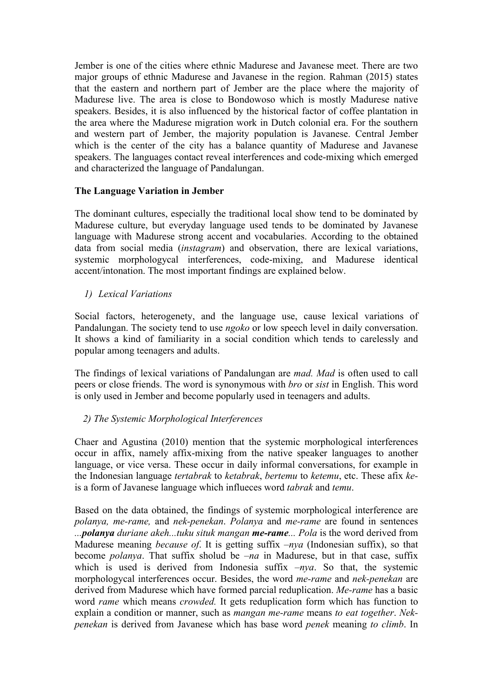Jember is one of the cities where ethnic Madurese and Javanese meet. There are two major groups of ethnic Madurese and Javanese in the region. Rahman (2015) states that the eastern and northern part of Jember are the place where the majority of Madurese live. The area is close to Bondowoso which is mostly Madurese native speakers. Besides, it is also influenced by the historical factor of coffee plantation in the area where the Madurese migration work in Dutch colonial era. For the southern and western part of Jember, the majority population is Javanese. Central Jember which is the center of the city has a balance quantity of Madurese and Javanese speakers. The languages contact reveal interferences and code-mixing which emerged and characterized the language of Pandalungan.

# **The Language Variation in Jember**

The dominant cultures, especially the traditional local show tend to be dominated by Madurese culture, but everyday language used tends to be dominated by Javanese language with Madurese strong accent and vocabularies. According to the obtained data from social media (*instagram*) and observation, there are lexical variations, systemic morphologycal interferences, code-mixing, and Madurese identical accent/intonation. The most important findings are explained below.

## *1) Lexical Variations*

Social factors, heterogenety, and the language use, cause lexical variations of Pandalungan. The society tend to use *ngoko* or low speech level in daily conversation. It shows a kind of familiarity in a social condition which tends to carelessly and popular among teenagers and adults.

The findings of lexical variations of Pandalungan are *mad. Mad* is often used to call peers or close friends. The word is synonymous with *bro* or *sist* in English. This word is only used in Jember and become popularly used in teenagers and adults.

# *2) The Systemic Morphological Interferences*

Chaer and Agustina (2010) mention that the systemic morphological interferences occur in affix, namely affix-mixing from the native speaker languages to another language, or vice versa. These occur in daily informal conversations, for example in the Indonesian language *tertabrak* to *ketabrak*, *bertemu* to *ketemu*, etc. These afix *ke*is a form of Javanese language which influeces word *tabrak* and *temu*.

Based on the data obtained, the findings of systemic morphological interference are *polanya, me-rame,* and *nek-penekan*. *Polanya* and *me-rame* are found in sentences *...polanya duriane akeh...tuku situk mangan me-rame... Pola* is the word derived from Madurese meaning *because of*. It is getting suffix *–nya* (Indonesian suffix), so that become *polanya*. That suffix sholud be *–na* in Madurese, but in that case, suffix which is used is derived from Indonesia suffix *–nya*. So that, the systemic morphologycal interferences occur. Besides, the word *me-rame* and *nek-penekan* are derived from Madurese which have formed parcial reduplication. *Me-rame* has a basic word *rame* which means *crowded.* It gets reduplication form which has function to explain a condition or manner, such as *mangan me-rame* means *to eat together*. *Nekpenekan* is derived from Javanese which has base word *penek* meaning *to climb*. In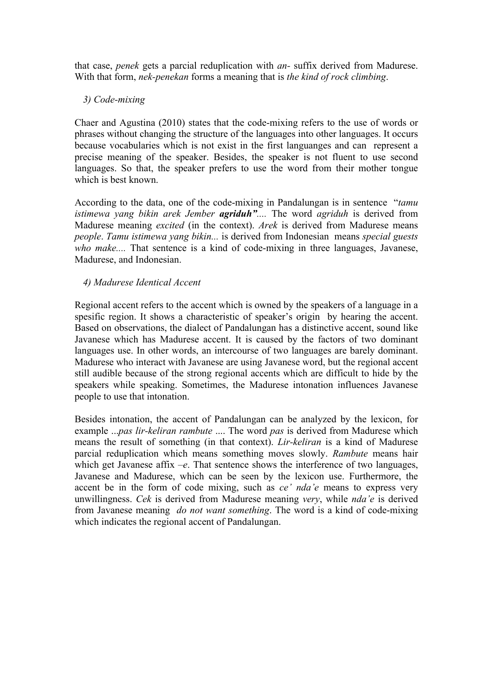that case, *penek* gets a parcial reduplication with *an-* suffix derived from Madurese. With that form, *nek-penekan* forms a meaning that is *the kind of rock climbing*.

# *3) Code-mixing*

Chaer and Agustina (2010) states that the code-mixing refers to the use of words or phrases without changing the structure of the languages into other languages. It occurs because vocabularies which is not exist in the first languanges and can represent a precise meaning of the speaker. Besides, the speaker is not fluent to use second languages. So that, the speaker prefers to use the word from their mother tongue which is best known.

According to the data, one of the code-mixing in Pandalungan is in sentence "*tamu istimewa yang bikin arek Jember agriduh"....* The word *agriduh* is derived from Madurese meaning *excited* (in the context). *Arek* is derived from Madurese means *people*. *Tamu istimewa yang bikin...* is derived from Indonesian means *special guests who make....* That sentence is a kind of code-mixing in three languages, Javanese, Madurese, and Indonesian.

# *4) Madurese Identical Accent*

Regional accent refers to the accent which is owned by the speakers of a language in a spesific region. It shows a characteristic of speaker's origin by hearing the accent. Based on observations, the dialect of Pandalungan has a distinctive accent, sound like Javanese which has Madurese accent. It is caused by the factors of two dominant languages use. In other words, an intercourse of two languages are barely dominant. Madurese who interact with Javanese are using Javanese word, but the regional accent still audible because of the strong regional accents which are difficult to hide by the speakers while speaking. Sometimes, the Madurese intonation influences Javanese people to use that intonation.

Besides intonation, the accent of Pandalungan can be analyzed by the lexicon, for example ...*pas lir-keliran rambute* .... The word *pas* is derived from Madurese which means the result of something (in that context). *Lir-keliran* is a kind of Madurese parcial reduplication which means something moves slowly. *Rambute* means hair which get Javanese affix *–e*. That sentence shows the interference of two languages, Javanese and Madurese, which can be seen by the lexicon use. Furthermore, the accent be in the form of code mixing, such as *ce' nda'e* means to express very unwillingness. *Cek* is derived from Madurese meaning *very*, while *nda'e* is derived from Javanese meaning *do not want something*. The word is a kind of code-mixing which indicates the regional accent of Pandalungan.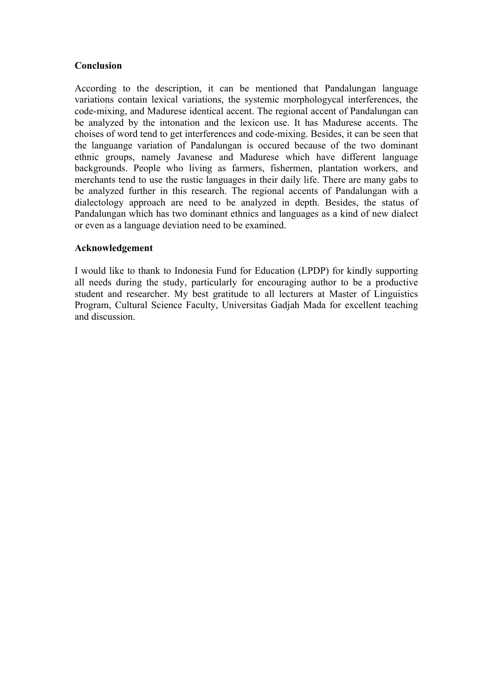## **Conclusion**

According to the description, it can be mentioned that Pandalungan language variations contain lexical variations, the systemic morphologycal interferences, the code-mixing, and Madurese identical accent. The regional accent of Pandalungan can be analyzed by the intonation and the lexicon use. It has Madurese accents. The choises of word tend to get interferences and code-mixing. Besides, it can be seen that the languange variation of Pandalungan is occured because of the two dominant ethnic groups, namely Javanese and Madurese which have different language backgrounds. People who living as farmers, fishermen, plantation workers, and merchants tend to use the rustic languages in their daily life. There are many gabs to be analyzed further in this research. The regional accents of Pandalungan with a dialectology approach are need to be analyzed in depth. Besides, the status of Pandalungan which has two dominant ethnics and languages as a kind of new dialect or even as a language deviation need to be examined.

## **Acknowledgement**

I would like to thank to Indonesia Fund for Education (LPDP) for kindly supporting all needs during the study, particularly for encouraging author to be a productive student and researcher. My best gratitude to all lecturers at Master of Linguistics Program, Cultural Science Faculty, Universitas Gadjah Mada for excellent teaching and discussion.